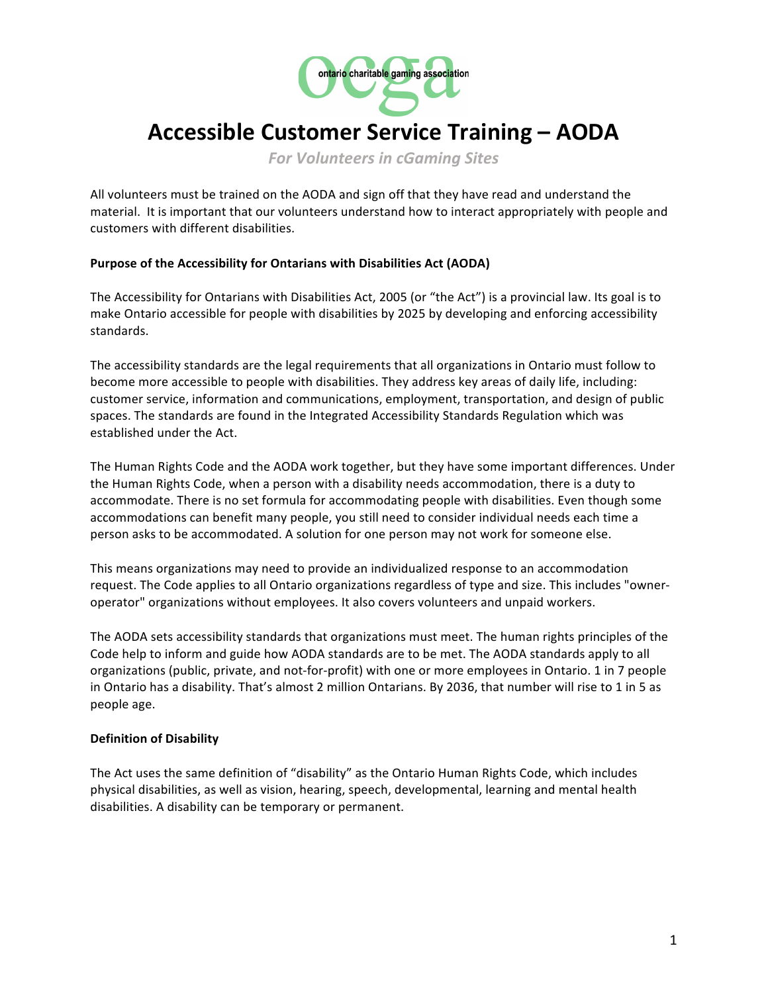

# **Accessible Customer Service Training – AODA**

*For Volunteers in cGaming Sites* 

All volunteers must be trained on the AODA and sign off that they have read and understand the material. It is important that our volunteers understand how to interact appropriately with people and customers with different disabilities.

#### **Purpose of the Accessibility for Ontarians with Disabilities Act (AODA)**

The Accessibility for Ontarians with Disabilities Act, 2005 (or "the Act") is a provincial law. Its goal is to make Ontario accessible for people with disabilities by 2025 by developing and enforcing accessibility standards. 

The accessibility standards are the legal requirements that all organizations in Ontario must follow to become more accessible to people with disabilities. They address key areas of daily life, including: customer service, information and communications, employment, transportation, and design of public spaces. The standards are found in the Integrated Accessibility Standards Regulation which was established under the Act.

The Human Rights Code and the AODA work together, but they have some important differences. Under the Human Rights Code, when a person with a disability needs accommodation, there is a duty to accommodate. There is no set formula for accommodating people with disabilities. Even though some accommodations can benefit many people, you still need to consider individual needs each time a person asks to be accommodated. A solution for one person may not work for someone else.

This means organizations may need to provide an individualized response to an accommodation request. The Code applies to all Ontario organizations regardless of type and size. This includes "owneroperator" organizations without employees. It also covers volunteers and unpaid workers.

The AODA sets accessibility standards that organizations must meet. The human rights principles of the Code help to inform and guide how AODA standards are to be met. The AODA standards apply to all organizations (public, private, and not-for-profit) with one or more employees in Ontario. 1 in 7 people in Ontario has a disability. That's almost 2 million Ontarians. By 2036, that number will rise to 1 in 5 as people age.

## **Definition of Disability**

The Act uses the same definition of "disability" as the Ontario Human Rights Code, which includes physical disabilities, as well as vision, hearing, speech, developmental, learning and mental health disabilities. A disability can be temporary or permanent.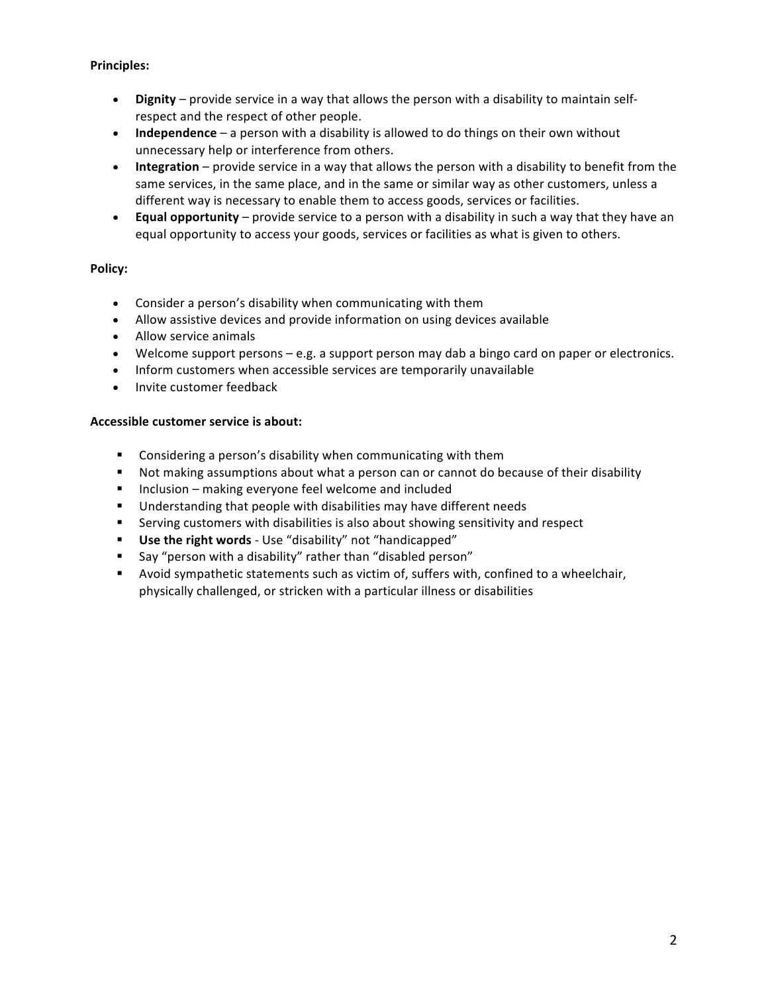## **Principles:**

- Dignity provide service in a way that allows the person with a disability to maintain selfrespect and the respect of other people.
- **Independence** a person with a disability is allowed to do things on their own without unnecessary help or interference from others.
- **Integration** provide service in a way that allows the person with a disability to benefit from the same services, in the same place, and in the same or similar way as other customers, unless a different way is necessary to enable them to access goods, services or facilities.
- **Equal opportunity** provide service to a person with a disability in such a way that they have an equal opportunity to access your goods, services or facilities as what is given to others.

#### **Policy:**

- Consider a person's disability when communicating with them
- Allow assistive devices and provide information on using devices available
- Allow service animals
- Welcome support persons  $-e.g.$  a support person may dab a bingo card on paper or electronics.
- Inform customers when accessible services are temporarily unavailable
- Invite customer feedback

#### Accessible customer service is about:

- Considering a person's disability when communicating with them
- Not making assumptions about what a person can or cannot do because of their disability
- Inclusion making everyone feel welcome and included
- Understanding that people with disabilities may have different needs
- Serving customers with disabilities is also about showing sensitivity and respect
- **■** Use the right words Use "disability" not "handicapped"
- Say "person with a disability" rather than "disabled person"
- Avoid sympathetic statements such as victim of, suffers with, confined to a wheelchair, physically challenged, or stricken with a particular illness or disabilities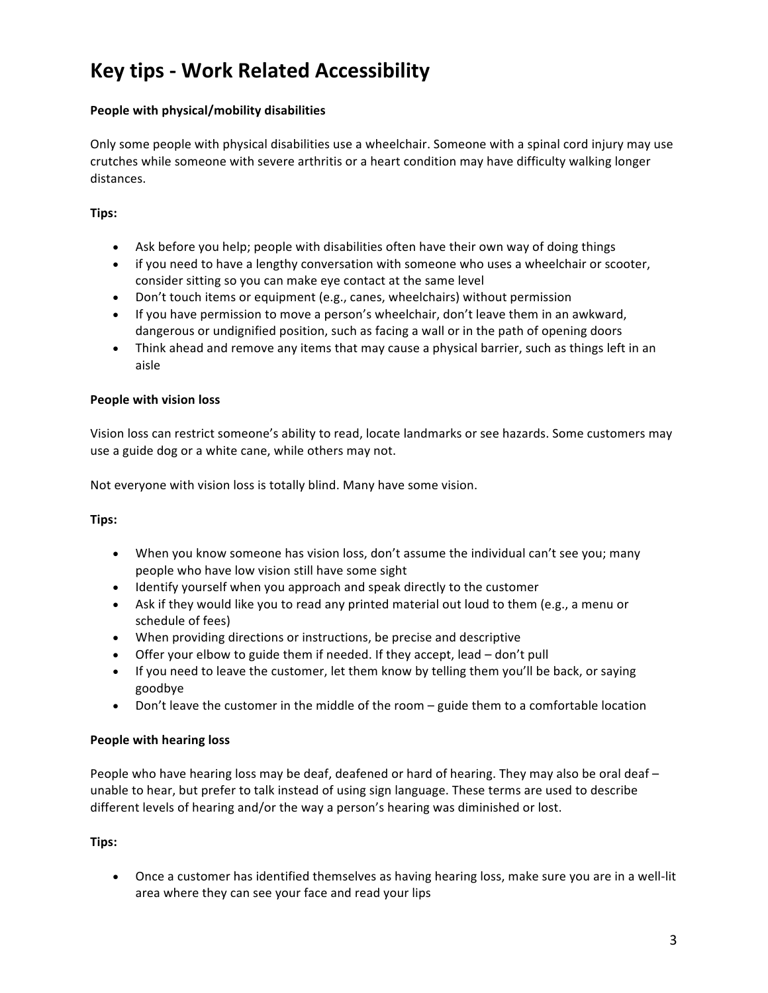# **Key tips - Work Related Accessibility**

# People with physical/mobility disabilities

Only some people with physical disabilities use a wheelchair. Someone with a spinal cord injury may use crutches while someone with severe arthritis or a heart condition may have difficulty walking longer distances.

# **Tips:**

- Ask before you help; people with disabilities often have their own way of doing things
- if you need to have a lengthy conversation with someone who uses a wheelchair or scooter, consider sitting so you can make eye contact at the same level
- Don't touch items or equipment (e.g., canes, wheelchairs) without permission
- If you have permission to move a person's wheelchair, don't leave them in an awkward, dangerous or undignified position, such as facing a wall or in the path of opening doors
- Think ahead and remove any items that may cause a physical barrier, such as things left in an aisle

## **People with vision loss**

Vision loss can restrict someone's ability to read, locate landmarks or see hazards. Some customers may use a guide dog or a white cane, while others may not.

Not everyone with vision loss is totally blind. Many have some vision.

## **Tips:**

- When you know someone has vision loss, don't assume the individual can't see you; many people who have low vision still have some sight
- Identify yourself when you approach and speak directly to the customer
- Ask if they would like you to read any printed material out loud to them (e.g., a menu or schedule of fees)
- When providing directions or instructions, be precise and descriptive
- Offer your elbow to guide them if needed. If they accept, lead don't pull
- If you need to leave the customer, let them know by telling them you'll be back, or saying goodbye
- Don't leave the customer in the middle of the room guide them to a comfortable location

## **People with hearing loss**

People who have hearing loss may be deaf, deafened or hard of hearing. They may also be oral deaf – unable to hear, but prefer to talk instead of using sign language. These terms are used to describe different levels of hearing and/or the way a person's hearing was diminished or lost.

## **Tips:**

• Once a customer has identified themselves as having hearing loss, make sure you are in a well-lit area where they can see your face and read your lips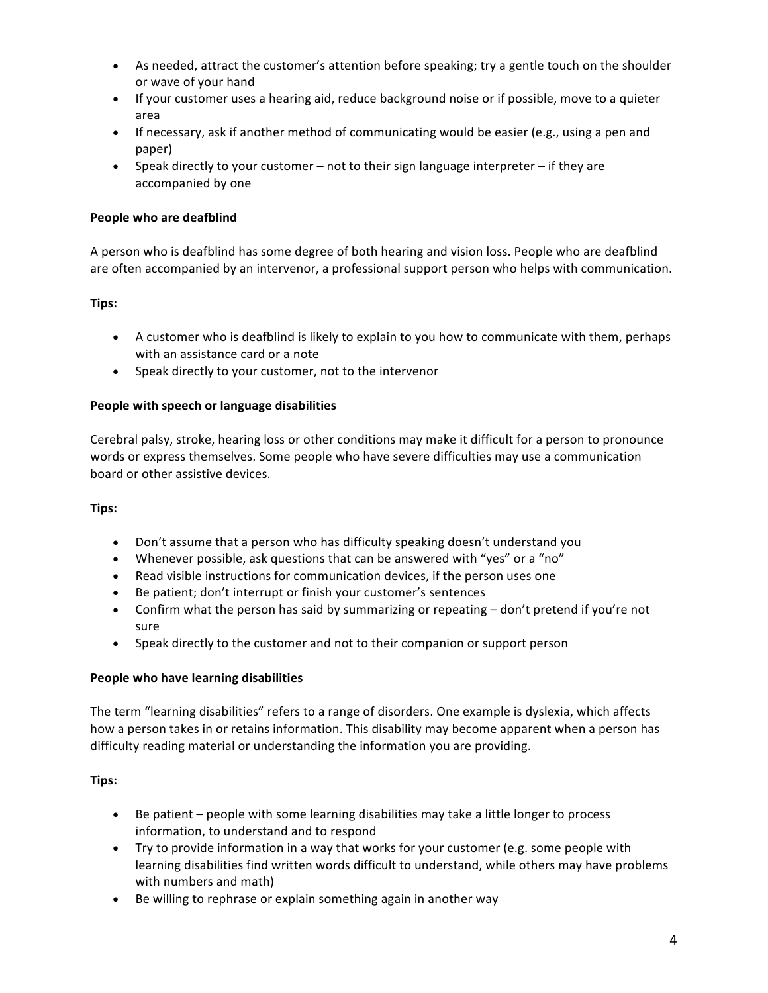- As needed, attract the customer's attention before speaking; try a gentle touch on the shoulder or wave of your hand
- If your customer uses a hearing aid, reduce background noise or if possible, move to a quieter area
- If necessary, ask if another method of communicating would be easier (e.g., using a pen and paper)
- Speak directly to your customer  $-$  not to their sign language interpreter  $-$  if they are accompanied by one

## **People who are deafblind**

A person who is deafblind has some degree of both hearing and vision loss. People who are deafblind are often accompanied by an intervenor, a professional support person who helps with communication.

# **Tips:**

- A customer who is deafblind is likely to explain to you how to communicate with them, perhaps with an assistance card or a note
- Speak directly to your customer, not to the intervenor

## People with speech or language disabilities

Cerebral palsy, stroke, hearing loss or other conditions may make it difficult for a person to pronounce words or express themselves. Some people who have severe difficulties may use a communication board or other assistive devices.

## **Tips:**

- Don't assume that a person who has difficulty speaking doesn't understand you
- Whenever possible, ask questions that can be answered with "yes" or a "no"
- Read visible instructions for communication devices, if the person uses one
- Be patient; don't interrupt or finish your customer's sentences
- Confirm what the person has said by summarizing or repeating  $-$  don't pretend if you're not sure
- Speak directly to the customer and not to their companion or support person

## **People who have learning disabilities**

The term "learning disabilities" refers to a range of disorders. One example is dyslexia, which affects how a person takes in or retains information. This disability may become apparent when a person has difficulty reading material or understanding the information you are providing.

## **Tips:**

- Be patient people with some learning disabilities may take a little longer to process information, to understand and to respond
- Try to provide information in a way that works for your customer (e.g. some people with learning disabilities find written words difficult to understand, while others may have problems with numbers and math)
- Be willing to rephrase or explain something again in another way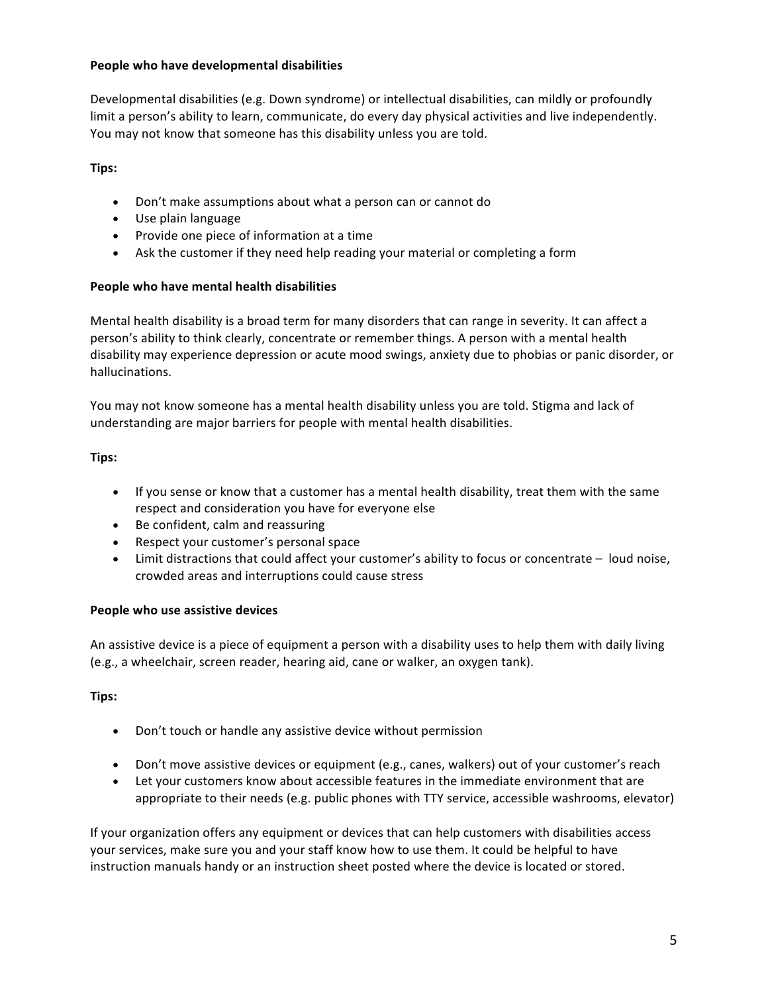#### **People who have developmental disabilities**

Developmental disabilities (e.g. Down syndrome) or intellectual disabilities, can mildly or profoundly limit a person's ability to learn, communicate, do every day physical activities and live independently. You may not know that someone has this disability unless you are told.

# **Tips:**

- Don't make assumptions about what a person can or cannot do
- Use plain language
- Provide one piece of information at a time
- Ask the customer if they need help reading your material or completing a form

## **People who have mental health disabilities**

Mental health disability is a broad term for many disorders that can range in severity. It can affect a person's ability to think clearly, concentrate or remember things. A person with a mental health disability may experience depression or acute mood swings, anxiety due to phobias or panic disorder, or hallucinations.

You may not know someone has a mental health disability unless you are told. Stigma and lack of understanding are major barriers for people with mental health disabilities.

## **Tips:**

- If you sense or know that a customer has a mental health disability, treat them with the same respect and consideration you have for everyone else
- Be confident, calm and reassuring
- Respect your customer's personal space
- Limit distractions that could affect your customer's ability to focus or concentrate loud noise, crowded areas and interruptions could cause stress

## **People who use assistive devices**

An assistive device is a piece of equipment a person with a disability uses to help them with daily living (e.g., a wheelchair, screen reader, hearing aid, cane or walker, an oxygen tank).

## **Tips:**

- Don't touch or handle any assistive device without permission
- Don't move assistive devices or equipment (e.g., canes, walkers) out of your customer's reach
- Let your customers know about accessible features in the immediate environment that are appropriate to their needs (e.g. public phones with TTY service, accessible washrooms, elevator)

If your organization offers any equipment or devices that can help customers with disabilities access your services, make sure you and your staff know how to use them. It could be helpful to have instruction manuals handy or an instruction sheet posted where the device is located or stored.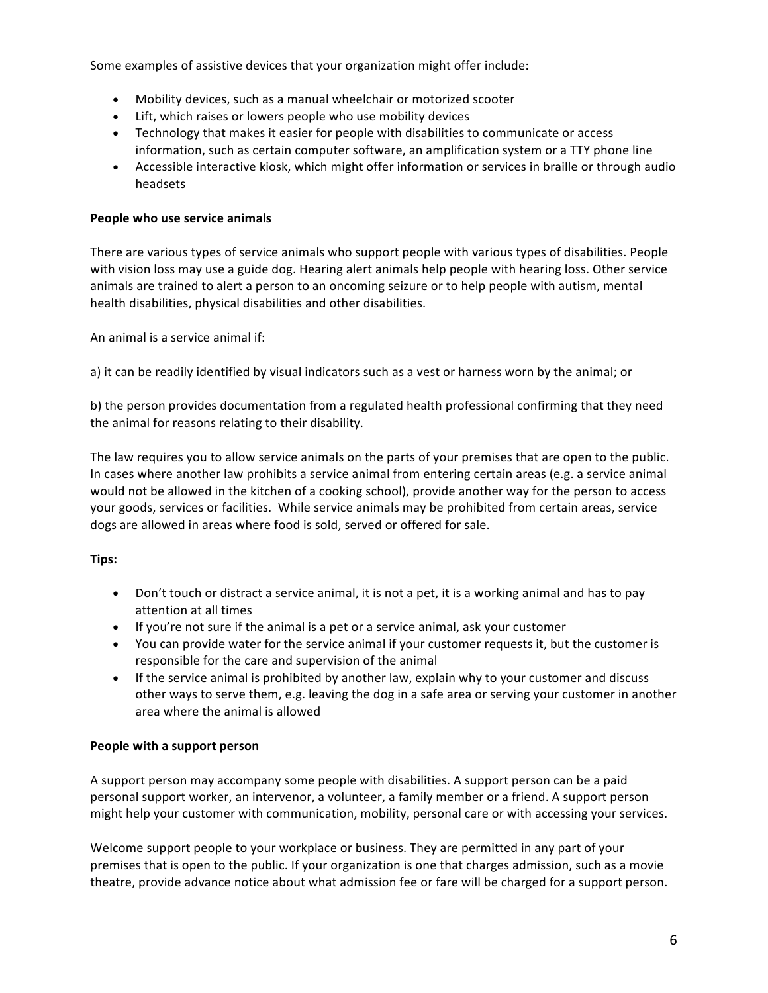Some examples of assistive devices that your organization might offer include:

- Mobility devices, such as a manual wheelchair or motorized scooter
- Lift, which raises or lowers people who use mobility devices
- Technology that makes it easier for people with disabilities to communicate or access information, such as certain computer software, an amplification system or a TTY phone line
- Accessible interactive kiosk, which might offer information or services in braille or through audio headsets

#### **People who use service animals**

There are various types of service animals who support people with various types of disabilities. People with vision loss may use a guide dog. Hearing alert animals help people with hearing loss. Other service animals are trained to alert a person to an oncoming seizure or to help people with autism, mental health disabilities, physical disabilities and other disabilities.

An animal is a service animal if:

a) it can be readily identified by visual indicators such as a vest or harness worn by the animal; or

b) the person provides documentation from a regulated health professional confirming that they need the animal for reasons relating to their disability.

The law requires you to allow service animals on the parts of your premises that are open to the public. In cases where another law prohibits a service animal from entering certain areas (e.g. a service animal would not be allowed in the kitchen of a cooking school), provide another way for the person to access your goods, services or facilities. While service animals may be prohibited from certain areas, service dogs are allowed in areas where food is sold, served or offered for sale.

## **Tips:**

- Don't touch or distract a service animal, it is not a pet, it is a working animal and has to pay attention at all times
- If you're not sure if the animal is a pet or a service animal, ask your customer
- You can provide water for the service animal if your customer requests it, but the customer is responsible for the care and supervision of the animal
- If the service animal is prohibited by another law, explain why to your customer and discuss other ways to serve them, e.g. leaving the dog in a safe area or serving your customer in another area where the animal is allowed

#### **People with a support person**

A support person may accompany some people with disabilities. A support person can be a paid personal support worker, an intervenor, a volunteer, a family member or a friend. A support person might help your customer with communication, mobility, personal care or with accessing your services.

Welcome support people to your workplace or business. They are permitted in any part of your premises that is open to the public. If your organization is one that charges admission, such as a movie theatre, provide advance notice about what admission fee or fare will be charged for a support person.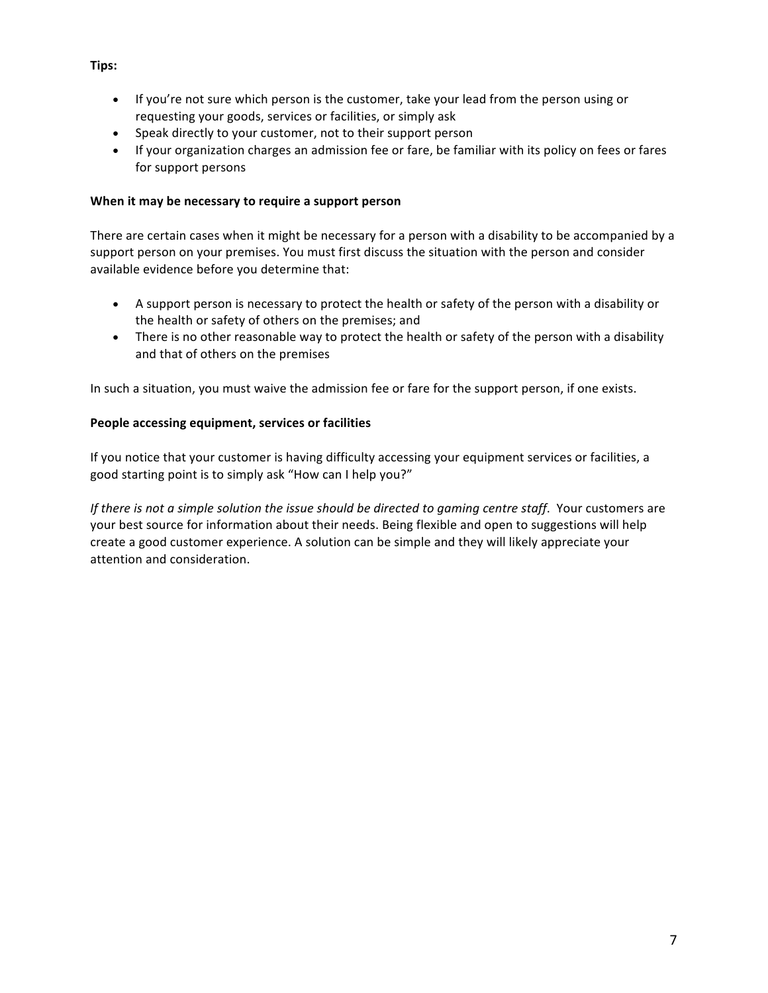- If you're not sure which person is the customer, take your lead from the person using or requesting your goods, services or facilities, or simply ask
- Speak directly to your customer, not to their support person
- If your organization charges an admission fee or fare, be familiar with its policy on fees or fares for support persons

#### **When it may be necessary to require a support person**

There are certain cases when it might be necessary for a person with a disability to be accompanied by a support person on your premises. You must first discuss the situation with the person and consider available evidence before you determine that:

- A support person is necessary to protect the health or safety of the person with a disability or the health or safety of others on the premises; and
- There is no other reasonable way to protect the health or safety of the person with a disability and that of others on the premises

In such a situation, you must waive the admission fee or fare for the support person, if one exists.

#### **People accessing equipment, services or facilities**

If you notice that your customer is having difficulty accessing your equipment services or facilities, a good starting point is to simply ask "How can I help you?"

*If* there is not a simple solution the issue should be directed to gaming centre staff. Your customers are your best source for information about their needs. Being flexible and open to suggestions will help create a good customer experience. A solution can be simple and they will likely appreciate your attention and consideration.

#### **Tips:**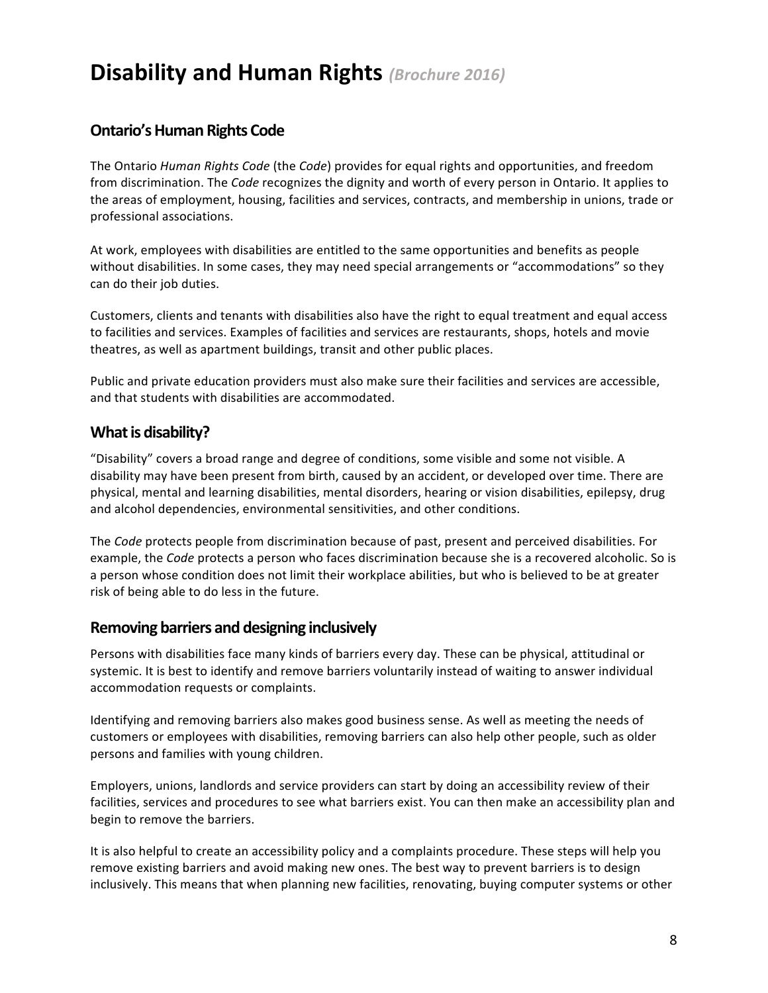# **Disability and Human Rights** *(Brochure 2016)*

# **Ontario's Human Rights Code**

The Ontario *Human Rights Code* (the *Code*) provides for equal rights and opportunities, and freedom from discrimination. The *Code* recognizes the dignity and worth of every person in Ontario. It applies to the areas of employment, housing, facilities and services, contracts, and membership in unions, trade or professional associations.

At work, employees with disabilities are entitled to the same opportunities and benefits as people without disabilities. In some cases, they may need special arrangements or "accommodations" so they can do their job duties.

Customers, clients and tenants with disabilities also have the right to equal treatment and equal access to facilities and services. Examples of facilities and services are restaurants, shops, hotels and movie theatres, as well as apartment buildings, transit and other public places.

Public and private education providers must also make sure their facilities and services are accessible, and that students with disabilities are accommodated.

# **What is disability?**

"Disability" covers a broad range and degree of conditions, some visible and some not visible. A disability may have been present from birth, caused by an accident, or developed over time. There are physical, mental and learning disabilities, mental disorders, hearing or vision disabilities, epilepsy, drug and alcohol dependencies, environmental sensitivities, and other conditions.

The *Code* protects people from discrimination because of past, present and perceived disabilities. For example, the *Code* protects a person who faces discrimination because she is a recovered alcoholic. So is a person whose condition does not limit their workplace abilities, but who is believed to be at greater risk of being able to do less in the future.

# **Removing barriers and designing inclusively**

Persons with disabilities face many kinds of barriers every day. These can be physical, attitudinal or systemic. It is best to identify and remove barriers voluntarily instead of waiting to answer individual accommodation requests or complaints.

Identifying and removing barriers also makes good business sense. As well as meeting the needs of customers or employees with disabilities, removing barriers can also help other people, such as older persons and families with young children.

Employers, unions, landlords and service providers can start by doing an accessibility review of their facilities, services and procedures to see what barriers exist. You can then make an accessibility plan and begin to remove the barriers.

It is also helpful to create an accessibility policy and a complaints procedure. These steps will help you remove existing barriers and avoid making new ones. The best way to prevent barriers is to design inclusively. This means that when planning new facilities, renovating, buying computer systems or other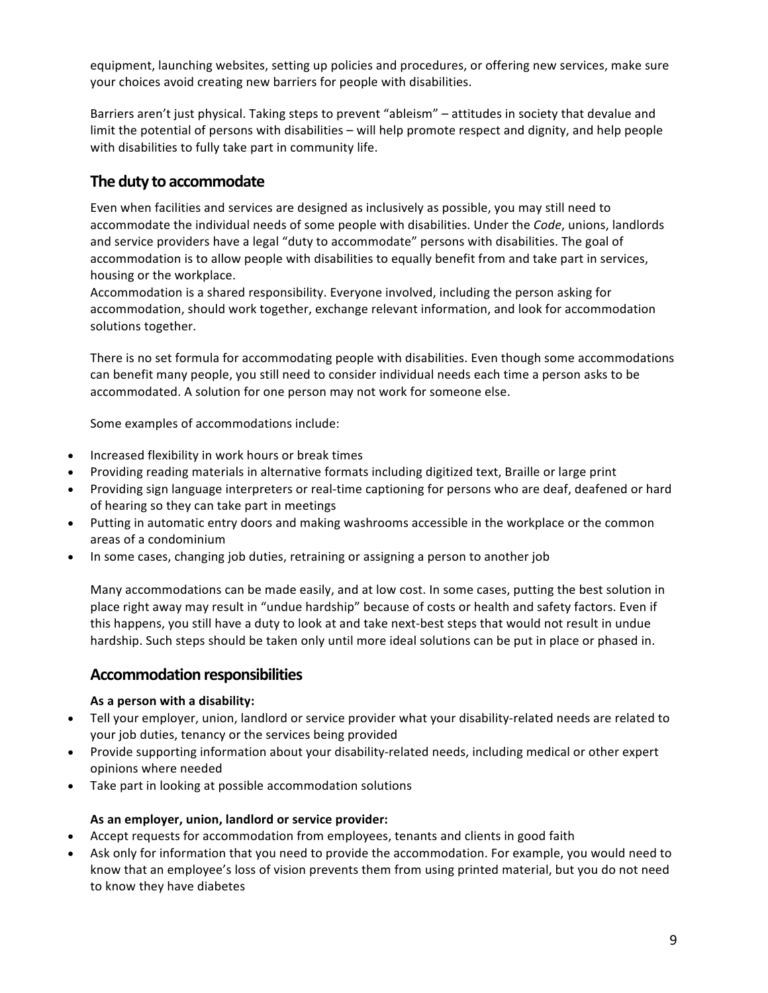equipment, launching websites, setting up policies and procedures, or offering new services, make sure your choices avoid creating new barriers for people with disabilities.

Barriers aren't just physical. Taking steps to prevent "ableism" – attitudes in society that devalue and limit the potential of persons with disabilities – will help promote respect and dignity, and help people with disabilities to fully take part in community life.

# The duty to accommodate

Even when facilities and services are designed as inclusively as possible, you may still need to accommodate the individual needs of some people with disabilities. Under the *Code*, unions, landlords and service providers have a legal "duty to accommodate" persons with disabilities. The goal of accommodation is to allow people with disabilities to equally benefit from and take part in services, housing or the workplace.

Accommodation is a shared responsibility. Everyone involved, including the person asking for accommodation, should work together, exchange relevant information, and look for accommodation solutions together.

There is no set formula for accommodating people with disabilities. Even though some accommodations can benefit many people, you still need to consider individual needs each time a person asks to be accommodated. A solution for one person may not work for someone else.

Some examples of accommodations include:

- Increased flexibility in work hours or break times
- Providing reading materials in alternative formats including digitized text, Braille or large print
- Providing sign language interpreters or real-time captioning for persons who are deaf, deafened or hard of hearing so they can take part in meetings
- Putting in automatic entry doors and making washrooms accessible in the workplace or the common areas of a condominium
- In some cases, changing job duties, retraining or assigning a person to another job

Many accommodations can be made easily, and at low cost. In some cases, putting the best solution in place right away may result in "undue hardship" because of costs or health and safety factors. Even if this happens, you still have a duty to look at and take next-best steps that would not result in undue hardship. Such steps should be taken only until more ideal solutions can be put in place or phased in.

# **Accommodation responsibilities**

#### **As a person with a disability:**

- Tell your employer, union, landlord or service provider what your disability-related needs are related to your job duties, tenancy or the services being provided
- Provide supporting information about your disability-related needs, including medical or other expert opinions where needed
- Take part in looking at possible accommodation solutions

#### **As an employer, union, landlord or service provider:**

- Accept requests for accommodation from employees, tenants and clients in good faith
- Ask only for information that you need to provide the accommodation. For example, you would need to know that an employee's loss of vision prevents them from using printed material, but you do not need to know they have diabetes